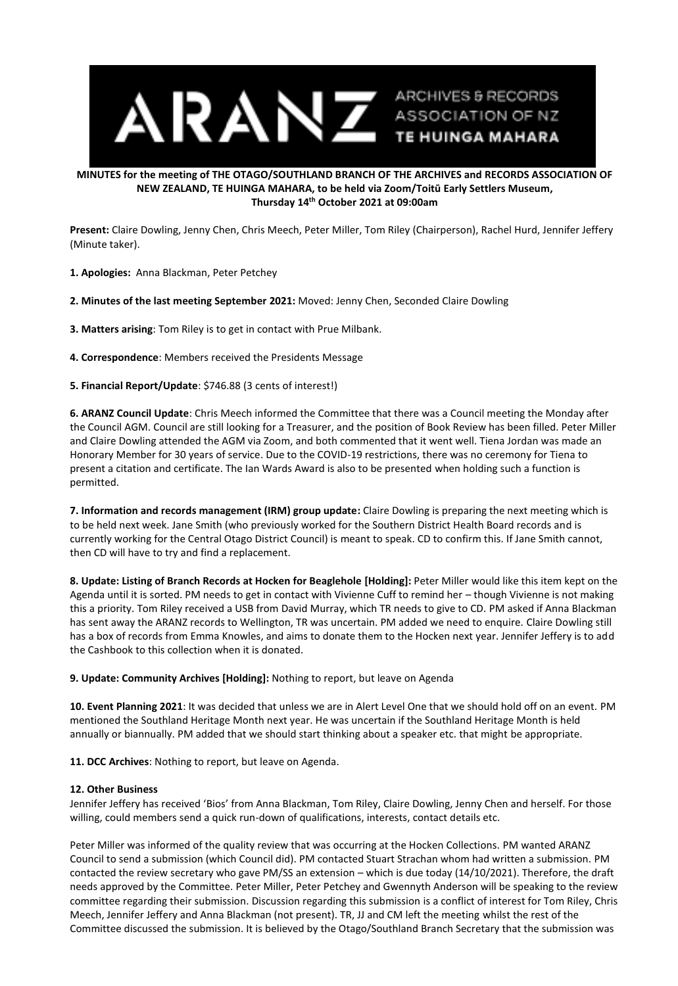

## **MINUTES for the meeting of THE OTAGO/SOUTHLAND BRANCH OF THE ARCHIVES and RECORDS ASSOCIATION OF NEW ZEALAND, TE HUINGA MAHARA, to be held via Zoom/Toitū Early Settlers Museum, Thursday 14th October 2021 at 09:00am**

**Present:** Claire Dowling, Jenny Chen, Chris Meech, Peter Miller, Tom Riley (Chairperson), Rachel Hurd, Jennifer Jeffery (Minute taker).

**1. Apologies:** Anna Blackman, Peter Petchey

**2. Minutes of the last meeting September 2021:** Moved: Jenny Chen, Seconded Claire Dowling

**3. Matters arising**: Tom Riley is to get in contact with Prue Milbank.

**4. Correspondence**: Members received the Presidents Message

**5. Financial Report/Update**: \$746.88 (3 cents of interest!)

**6. ARANZ Council Update**: Chris Meech informed the Committee that there was a Council meeting the Monday after the Council AGM. Council are still looking for a Treasurer, and the position of Book Review has been filled. Peter Miller and Claire Dowling attended the AGM via Zoom, and both commented that it went well. Tiena Jordan was made an Honorary Member for 30 years of service. Due to the COVID-19 restrictions, there was no ceremony for Tiena to present a citation and certificate. The Ian Wards Award is also to be presented when holding such a function is permitted.

**7. Information and records management (IRM) group update:** Claire Dowling is preparing the next meeting which is to be held next week. Jane Smith (who previously worked for the Southern District Health Board records and is currently working for the Central Otago District Council) is meant to speak. CD to confirm this. If Jane Smith cannot, then CD will have to try and find a replacement.

**8. Update: Listing of Branch Records at Hocken for Beaglehole [Holding]:** Peter Miller would like this item kept on the Agenda until it is sorted. PM needs to get in contact with Vivienne Cuff to remind her – though Vivienne is not making this a priority. Tom Riley received a USB from David Murray, which TR needs to give to CD. PM asked if Anna Blackman has sent away the ARANZ records to Wellington, TR was uncertain. PM added we need to enquire. Claire Dowling still has a box of records from Emma Knowles, and aims to donate them to the Hocken next year. Jennifer Jeffery is to add the Cashbook to this collection when it is donated.

**9. Update: Community Archives [Holding]:** Nothing to report, but leave on Agenda

**10. Event Planning 2021**: It was decided that unless we are in Alert Level One that we should hold off on an event. PM mentioned the Southland Heritage Month next year. He was uncertain if the Southland Heritage Month is held annually or biannually. PM added that we should start thinking about a speaker etc. that might be appropriate.

**11. DCC Archives**: Nothing to report, but leave on Agenda.

## **12. Other Business**

Jennifer Jeffery has received 'Bios' from Anna Blackman, Tom Riley, Claire Dowling, Jenny Chen and herself. For those willing, could members send a quick run-down of qualifications, interests, contact details etc.

Peter Miller was informed of the quality review that was occurring at the Hocken Collections. PM wanted ARANZ Council to send a submission (which Council did). PM contacted Stuart Strachan whom had written a submission. PM contacted the review secretary who gave PM/SS an extension – which is due today (14/10/2021). Therefore, the draft needs approved by the Committee. Peter Miller, Peter Petchey and Gwennyth Anderson will be speaking to the review committee regarding their submission. Discussion regarding this submission is a conflict of interest for Tom Riley, Chris Meech, Jennifer Jeffery and Anna Blackman (not present). TR, JJ and CM left the meeting whilst the rest of the Committee discussed the submission. It is believed by the Otago/Southland Branch Secretary that the submission was